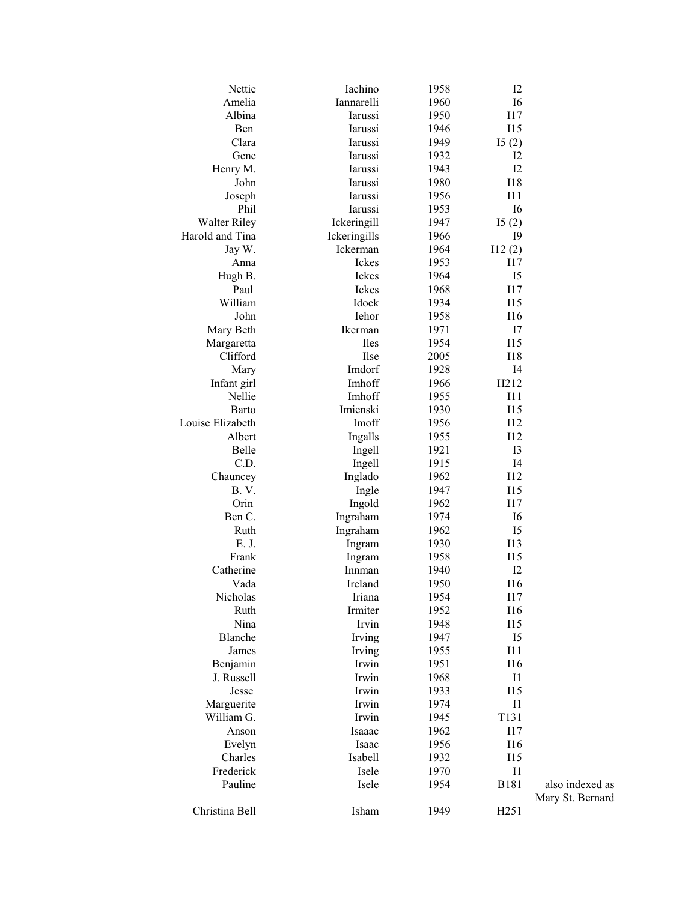| Nettie              | Iachino      | 1958 | 12               |                  |
|---------------------|--------------|------|------------------|------------------|
| Amelia              | Iannarelli   | 1960 | I6               |                  |
| Albina              | Iarussi      | 1950 | I17              |                  |
| Ben                 | Iarussi      | 1946 | <b>I15</b>       |                  |
| Clara               | Iarussi      | 1949 | I5(2)            |                  |
| Gene                | Iarussi      | 1932 | 12               |                  |
| Henry M.            | Iarussi      | 1943 | I2               |                  |
| John                | Iarussi      | 1980 | <b>I18</b>       |                  |
| Joseph              | Iarussi      | 1956 | I11              |                  |
| Phil                | Iarussi      | 1953 | I6               |                  |
| <b>Walter Riley</b> | Ickeringill  | 1947 | I5(2)            |                  |
| Harold and Tina     | Ickeringills | 1966 | <b>I9</b>        |                  |
| Jay W.              | Ickerman     | 1964 | 112(2)           |                  |
| Anna                | Ickes        | 1953 | 117              |                  |
| Hugh B.             | Ickes        | 1964 | I5               |                  |
| Paul                | Ickes        | 1968 | <b>I17</b>       |                  |
| William             | Idock        | 1934 | <b>I15</b>       |                  |
| John                | Iehor        | 1958 | I16              |                  |
| Mary Beth           | Ikerman      | 1971 | I7               |                  |
| Margaretta          | <b>Iles</b>  | 1954 | I15              |                  |
| Clifford            | Ilse         | 2005 | I18              |                  |
| Mary                | Imdorf       | 1928 | I <sub>4</sub>   |                  |
| Infant girl         | Imhoff       | 1966 | H212             |                  |
| Nellie              | Imhoff       | 1955 | I11              |                  |
| Barto               | Imienski     | 1930 | <b>I15</b>       |                  |
| Louise Elizabeth    | Imoff        | 1956 | <b>I12</b>       |                  |
| Albert              | Ingalls      | 1955 | I12              |                  |
| Belle               | Ingell       | 1921 | I3               |                  |
| C.D.                | Ingell       | 1915 | I <sub>4</sub>   |                  |
| Chauncey            | Inglado      | 1962 | <b>I12</b>       |                  |
| <b>B.V.</b>         | Ingle        | 1947 | <b>I15</b>       |                  |
| Orin                | Ingold       | 1962 | <b>I17</b>       |                  |
| Ben C.              | Ingraham     | 1974 | I6               |                  |
| Ruth                | Ingraham     | 1962 | I <sub>5</sub>   |                  |
| E. J.               | Ingram       | 1930 | <b>I13</b>       |                  |
| Frank               | Ingram       | 1958 | <b>I15</b>       |                  |
| Catherine           | Innman       | 1940 | I2               |                  |
| Vada                | Ireland      | 1950 | <b>I16</b>       |                  |
| Nicholas            | Iriana       | 1954 | I17              |                  |
| Ruth                | Irmiter      | 1952 | I16              |                  |
| Nina                | Irvin        | 1948 | I15              |                  |
| Blanche             | Irving       | 1947 | I5               |                  |
| James               | Irving       | 1955 | I11              |                  |
| Benjamin            | Irwin        | 1951 | <b>I16</b>       |                  |
| J. Russell          | Irwin        | 1968 | I <sub>1</sub>   |                  |
| Jesse               | Irwin        | 1933 | <b>I15</b>       |                  |
| Marguerite          | Irwin        | 1974 | I <sub>1</sub>   |                  |
| William G.          | Irwin        | 1945 | T131             |                  |
| Anson               | Isaaac       | 1962 | <b>I17</b>       |                  |
| Evelyn              | Isaac        | 1956 | <b>I16</b>       |                  |
| Charles             | Isabell      | 1932 | I15              |                  |
| Frederick           | Isele        | 1970 | I <sub>1</sub>   |                  |
| Pauline             | Isele        | 1954 | <b>B181</b>      | also indexed as  |
|                     |              |      |                  | Mary St. Bernard |
| Christina Bell      | Isham        | 1949 | H <sub>251</sub> |                  |
|                     |              |      |                  |                  |